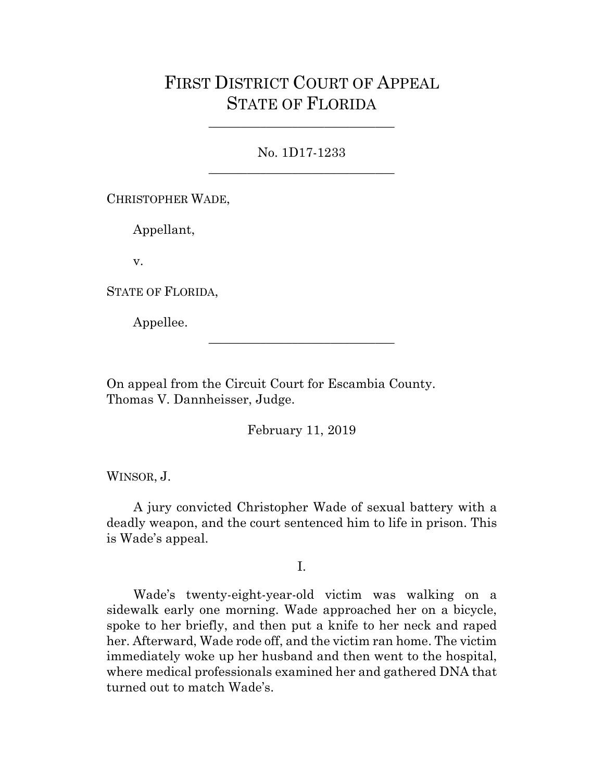## FIRST DISTRICT COURT OF APPEAL STATE OF FLORIDA

No. 1D17-1233 \_\_\_\_\_\_\_\_\_\_\_\_\_\_\_\_\_\_\_\_\_\_\_\_\_\_\_\_\_

\_\_\_\_\_\_\_\_\_\_\_\_\_\_\_\_\_\_\_\_\_\_\_\_\_\_\_\_\_

CHRISTOPHER WADE,

Appellant,

v.

STATE OF FLORIDA,

Appellee.

On appeal from the Circuit Court for Escambia County. Thomas V. Dannheisser, Judge.

February 11, 2019

\_\_\_\_\_\_\_\_\_\_\_\_\_\_\_\_\_\_\_\_\_\_\_\_\_\_\_\_\_

WINSOR, J.

A jury convicted Christopher Wade of sexual battery with a deadly weapon, and the court sentenced him to life in prison. This is Wade's appeal.

I.

Wade's twenty-eight-year-old victim was walking on a sidewalk early one morning. Wade approached her on a bicycle, spoke to her briefly, and then put a knife to her neck and raped her. Afterward, Wade rode off, and the victim ran home. The victim immediately woke up her husband and then went to the hospital, where medical professionals examined her and gathered DNA that turned out to match Wade's.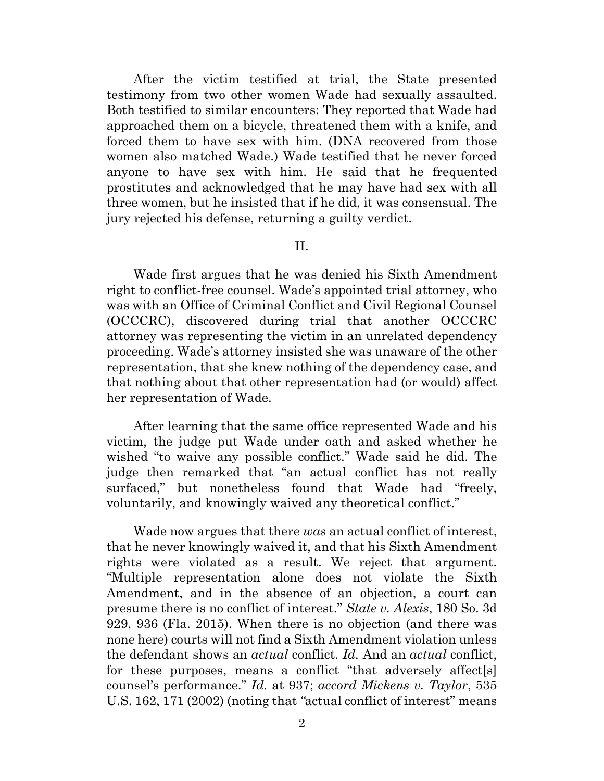After the victim testified at trial, the State presented testimony from two other women Wade had sexually assaulted. Both testified to similar encounters: They reported that Wade had approached them on a bicycle, threatened them with a knife, and forced them to have sex with him. (DNA recovered from those women also matched Wade.) Wade testified that he never forced anyone to have sex with him. He said that he frequented prostitutes and acknowledged that he may have had sex with all three women, but he insisted that if he did, it was consensual. The jury rejected his defense, returning a guilty verdict.

II.

Wade first argues that he was denied his Sixth Amendment right to conflict-free counsel. Wade's appointed trial attorney, who was with an Office of Criminal Conflict and Civil Regional Counsel (OCCCRC), discovered during trial that another OCCCRC attorney was representing the victim in an unrelated dependency proceeding. Wade's attorney insisted she was unaware of the other representation, that she knew nothing of the dependency case, and that nothing about that other representation had (or would) affect her representation of Wade.

After learning that the same office represented Wade and his victim, the judge put Wade under oath and asked whether he wished "to waive any possible conflict." Wade said he did. The judge then remarked that "an actual conflict has not really surfaced," but nonetheless found that Wade had "freely, voluntarily, and knowingly waived any theoretical conflict."

Wade now argues that there *was* an actual conflict of interest, that he never knowingly waived it, and that his Sixth Amendment rights were violated as a result. We reject that argument. "Multiple representation alone does not violate the Sixth Amendment, and in the absence of an objection, a court can presume there is no conflict of interest." *State v. Alexis*, 180 So. 3d 929, 936 (Fla. 2015). When there is no objection (and there was none here) courts will not find a Sixth Amendment violation unless the defendant shows an *actual* conflict. *Id.* And an *actual* conflict, for these purposes, means a conflict "that adversely affect[s] counsel's performance." *Id.* at 937; *accord Mickens v. Taylor*, 535 U.S. 162, 171 (2002) (noting that *"*actual conflict of interest" means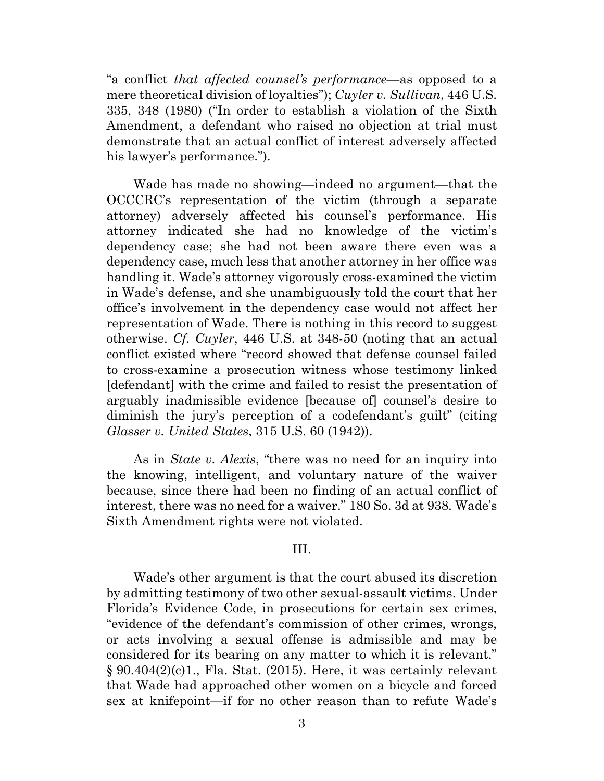"a conflict *that affected counsel's performance*—as opposed to a mere theoretical division of loyalties"); *Cuyler v. Sullivan*, 446 U.S. 335, 348 (1980) ("In order to establish a violation of the Sixth Amendment, a defendant who raised no objection at trial must demonstrate that an actual conflict of interest adversely affected his lawyer's performance.").

Wade has made no showing—indeed no argument—that the OCCCRC's representation of the victim (through a separate attorney) adversely affected his counsel's performance. His attorney indicated she had no knowledge of the victim's dependency case; she had not been aware there even was a dependency case, much less that another attorney in her office was handling it. Wade's attorney vigorously cross-examined the victim in Wade's defense, and she unambiguously told the court that her office's involvement in the dependency case would not affect her representation of Wade. There is nothing in this record to suggest otherwise. *Cf. Cuyler*, 446 U.S. at 348-50 (noting that an actual conflict existed where "record showed that defense counsel failed to cross-examine a prosecution witness whose testimony linked [defendant] with the crime and failed to resist the presentation of arguably inadmissible evidence [because of] counsel's desire to diminish the jury's perception of a codefendant's guilt" (citing *Glasser v. United States*, 315 U.S. 60 (1942)).

As in *State v. Alexis*, "there was no need for an inquiry into the knowing, intelligent, and voluntary nature of the waiver because, since there had been no finding of an actual conflict of interest, there was no need for a waiver." 180 So. 3d at 938. Wade's Sixth Amendment rights were not violated.

## III.

Wade's other argument is that the court abused its discretion by admitting testimony of two other sexual-assault victims. Under Florida's Evidence Code, in prosecutions for certain sex crimes, "evidence of the defendant's commission of other crimes, wrongs, or acts involving a sexual offense is admissible and may be considered for its bearing on any matter to which it is relevant." § 90.404(2)(c)1., Fla. Stat. (2015). Here, it was certainly relevant that Wade had approached other women on a bicycle and forced sex at knifepoint—if for no other reason than to refute Wade's